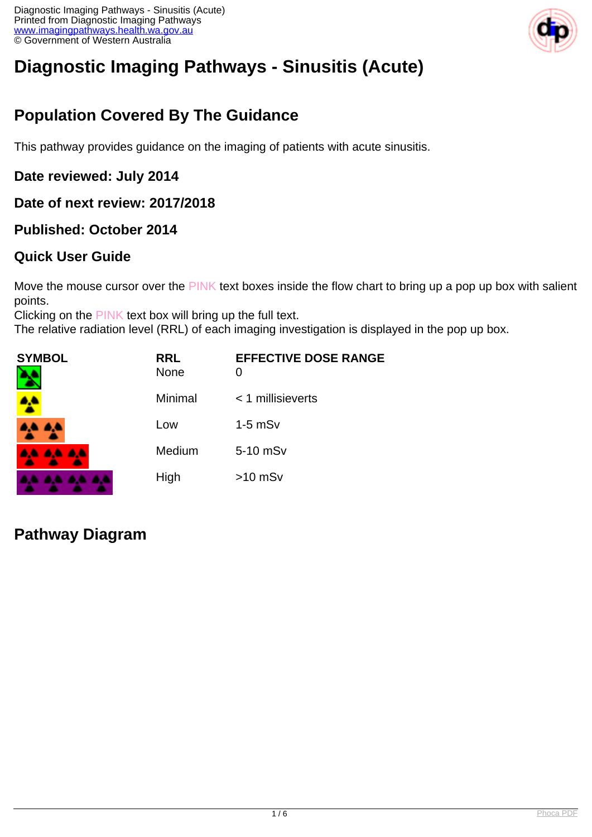

# **Diagnostic Imaging Pathways - Sinusitis (Acute)**

# **Population Covered By The Guidance**

This pathway provides guidance on the imaging of patients with acute sinusitis.

## **Date reviewed: July 2014**

#### **Date of next review: 2017/2018**

## **Published: October 2014**

## **Quick User Guide**

Move the mouse cursor over the PINK text boxes inside the flow chart to bring up a pop up box with salient points.

Clicking on the PINK text box will bring up the full text.

The relative radiation level (RRL) of each imaging investigation is displayed in the pop up box.

| SYMBOL          | <b>RRL</b><br><b>None</b> | <b>EFFECTIVE DOSE RANGE</b><br>0 |
|-----------------|---------------------------|----------------------------------|
|                 | Minimal                   | < 1 millisieverts                |
| <b>AA AA</b>    | Low                       | $1-5$ mS $v$                     |
| <b>AA AA AA</b> | Medium                    | 5-10 mSv                         |
|                 | High                      | $>10$ mSv                        |

# **Pathway Diagram**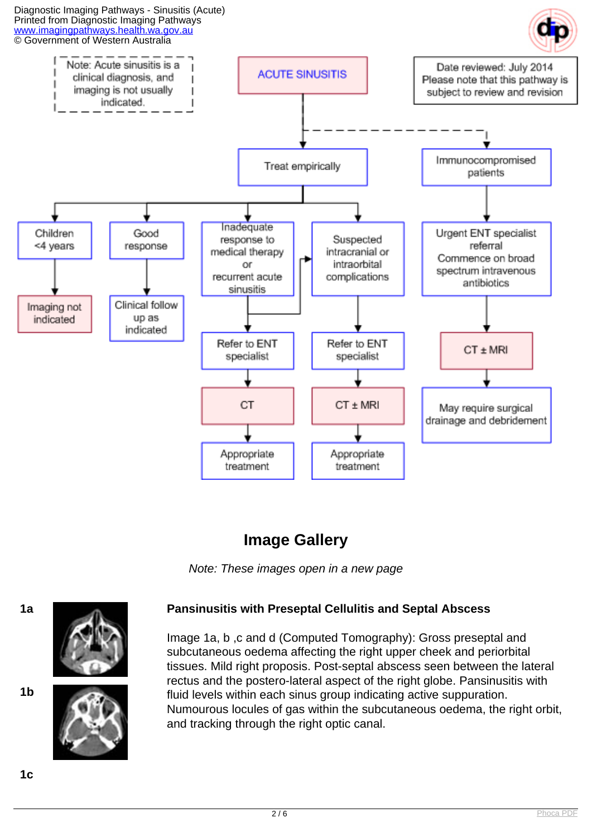

# **Image Gallery**

Note: These images open in a new page



#### **1a Pansinusitis with Preseptal Cellulitis and Septal Abscess**

Image 1a, b ,c and d (Computed Tomography): Gross preseptal and subcutaneous oedema affecting the right upper cheek and periorbital tissues. Mild right proposis. Post-septal abscess seen between the lateral rectus and the postero-lateral aspect of the right globe. Pansinusitis with fluid levels within each sinus group indicating active suppuration. Numourous locules of gas within the subcutaneous oedema, the right orbit, and tracking through the right optic canal.

**1b**

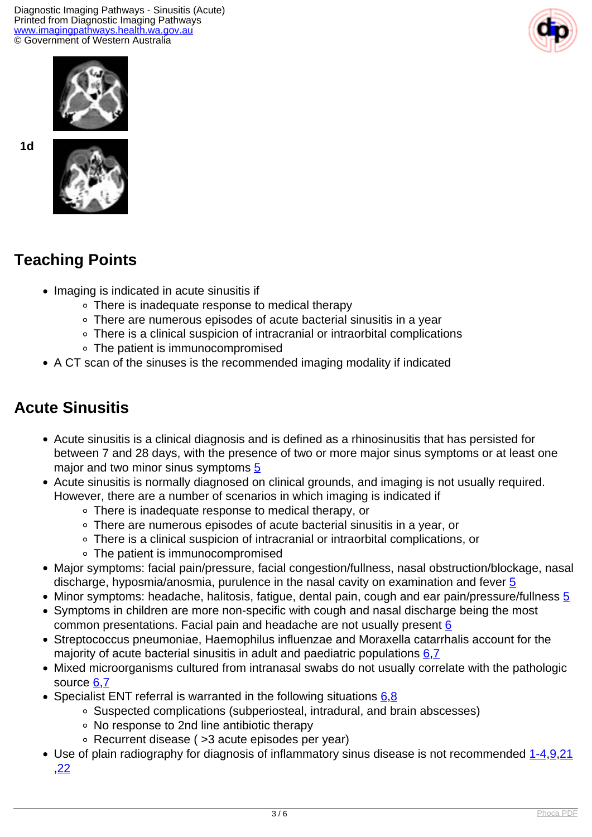Diagnostic Imaging Pathways - Sinusitis (Acute) Printed from Diagnostic Imaging Pathways [www.imagingpathways.health.wa.gov.au](http://www.imagingpathways.health.wa.gov.au/) © Government of Western Australia





**1d**



# **Teaching Points**

- Imaging is indicated in acute sinusitis if
	- There is inadequate response to medical therapy
	- There are numerous episodes of acute bacterial sinusitis in a year
	- There is a clinical suspicion of intracranial or intraorbital complications
	- The patient is immunocompromised
- A CT scan of the sinuses is the recommended imaging modality if indicated

# **Acute Sinusitis**

- Acute sinusitis is a clinical diagnosis and is defined as a rhinosinusitis that has persisted for between 7 and 28 days, with the presence of two or more major sinus symptoms or at least one major and two minor sinus symptoms [5](index.php/imaging-pathways/ear-nose-throat/acute-sinusitis?tab=references#5)
- Acute sinusitis is normally diagnosed on clinical grounds, and imaging is not usually required. However, there are a number of scenarios in which imaging is indicated if
	- There is inadequate response to medical therapy, or
	- There are numerous episodes of acute bacterial sinusitis in a year, or
	- There is a clinical suspicion of intracranial or intraorbital complications, or
	- The patient is immunocompromised
- Major symptoms: facial pain/pressure, facial congestion/fullness, nasal obstruction/blockage, nasal discharge, hyposmia/anosmia, purulence in the nasal cavity on examination and fever [5](index.php?option=com_content&view=article&id=161&tab=references#5)
- Minor symptoms: headache, halitosis, fatigue, dental pain, cough and ear pain/pressure/fullness [5](index.php?option=com_content&view=article&id=161&tab=references#5)
- Symptoms in children are more non-specific with cough and nasal discharge being the most common presentations. Facial pain and headache are not usually present  $6$
- Streptococcus pneumoniae, Haemophilus influenzae and Moraxella catarrhalis account for the majority of acute bacterial sinusitis in adult and paediatric populations  $6.7$  $6.7$  $6.7$
- Mixed microorganisms cultured from intranasal swabs do not usually correlate with the pathologic source [6](index.php?option=com_content&view=article&id=161&tab=references#6),[7](index.php?option=com_content&view=article&id=161&tab=references#6)
- Specialist ENT referral is warranted in the following situations  $6.8$  $6.8$ 
	- Suspected complications (subperiosteal, intradural, and brain abscesses)
	- No response to 2nd line antibiotic therapy
	- Recurrent disease ( >3 acute episodes per year)
- Use of plain radiography for diagnosis of inflammatory sinus disease is not recommended [1-4,](index.php?option=com_content&view=article&id=161&tab=references#1) [9,](index.php?option=com_content&view=article&id=161&tab=references#9) [21](index.php?option=com_content&view=article&id=161&tab=references#21) ,[22](index.php?option=com_content&view=article&id=161&tab=references#22)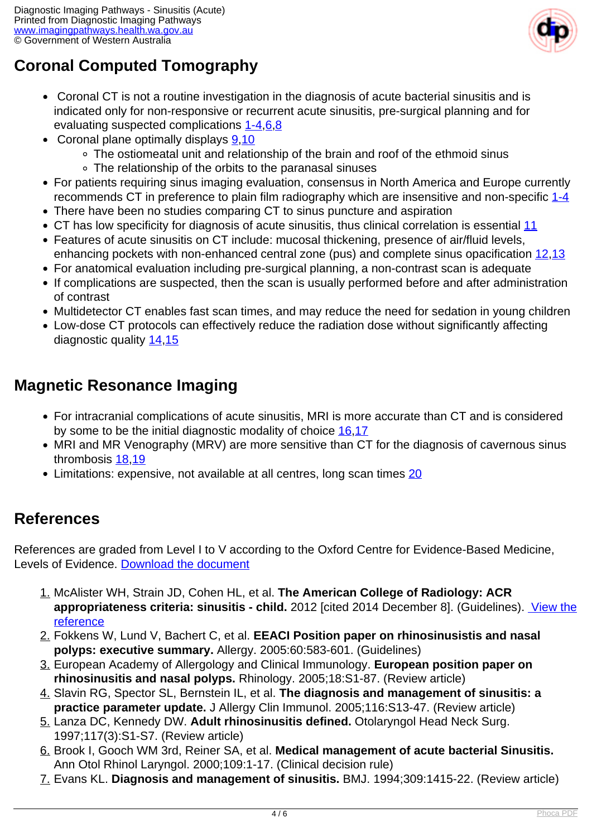

# **Coronal Computed Tomography**

- Coronal CT is not a routine investigation in the diagnosis of acute bacterial sinusitis and is indicated only for non-responsive or recurrent acute sinusitis, pre-surgical planning and for evaluating suspected complications [1-4,](index.php?option=com_content&view=article&id=161&tab=references#1)[6,](index.php?option=com_content&view=article&id=161&tab=references#6)[8](index.php?option=com_content&view=article&id=161&tab=references#8)
- Coronal plane optimally displays  $9,10$  $9,10$ 
	- The ostiomeatal unit and relationship of the brain and roof of the ethmoid sinus
	- The relationship of the orbits to the paranasal sinuses
- For patients requiring sinus imaging evaluation, consensus in North America and Europe currently recommends CT in preference to plain film radiography which are insensitive and non-specific [1-4](index.php?option=com_content&view=article&id=161&tab=references#1)
- There have been no studies comparing CT to sinus puncture and aspiration
- CT has low specificity for diagnosis of acute sinusitis, thus clinical correlation is essential [11](index.php?option=com_content&view=article&id=161&tab=references#11)
- Features of acute sinusitis on CT include: mucosal thickening, presence of air/fluid levels, enhancing pockets with non-enhanced central zone (pus) and complete sinus opacification [12,](index.php?option=com_content&view=article&id=161&tab=references#12)[13](index.php?option=com_content&view=article&id=161&tab=references#13)
- For anatomical evaluation including pre-surgical planning, a non-contrast scan is adequate
- If complications are suspected, then the scan is usually performed before and after administration of contrast
- Multidetector CT enables fast scan times, and may reduce the need for sedation in young children
- Low-dose CT protocols can effectively reduce the radiation dose without significantly affecting diagnostic quality [14](index.php?option=com_content&view=article&id=161&tab=references#14)[,15](index.php?option=com_content&view=article&id=161&tab=references#15)

# **Magnetic Resonance Imaging**

- For intracranial complications of acute sinusitis, MRI is more accurate than CT and is considered by some to be the initial diagnostic modality of choice [16,](index.php?option=com_content&view=article&id=161&tab=references#16)[17](index.php?option=com_content&view=article&id=161&tab=references#17)
- MRI and MR Venography (MRV) are more sensitive than CT for the diagnosis of cavernous sinus thrombosis [18,](index.php?option=com_content&view=article&id=161&tab=references#18)[19](index.php?option=com_content&view=article&id=161&tab=references#19)
- Limitations: expensive, not available at all centres, long scan times [20](index.php?option=com_content&view=article&id=161&tab=references#20)

# **References**

References are graded from Level I to V according to the Oxford Centre for Evidence-Based Medicine, Levels of Evidence. [Download the document](http://www.cebm.net/wp-content/uploads/2014/06/CEBM-Levels-of-Evidence-2.1.pdf)

- 1. McAlister WH, Strain JD, Cohen HL, et al. **The American College of Radiology: ACR appropriateness criteria: sinusitis - child.** 2012 [cited 2014 December 8]. (Guidelines). [View the](http://www.acr.org/~/media/ACR/Documents/AppCriteria/Diagnostic/SinusitisChild.pdf) [reference](http://www.acr.org/~/media/ACR/Documents/AppCriteria/Diagnostic/SinusitisChild.pdf)
- 2. Fokkens W, Lund V, Bachert C, et al. **EEACI Position paper on rhinosinusistis and nasal polyps: executive summary.** Allergy. 2005:60:583-601. (Guidelines)
- 3. European Academy of Allergology and Clinical Immunology. **European position paper on rhinosinusitis and nasal polyps.** Rhinology. 2005;18:S1-87. (Review article)
- 4. Slavin RG, Spector SL, Bernstein IL, et al. **The diagnosis and management of sinusitis: a practice parameter update.** J Allergy Clin Immunol. 2005;116:S13-47. (Review article)
- 5. Lanza DC, Kennedy DW. **Adult rhinosinusitis defined.** Otolaryngol Head Neck Surg. 1997;117(3):S1-S7. (Review article)
- 6. Brook I, Gooch WM 3rd, Reiner SA, et al. **Medical management of acute bacterial Sinusitis.** Ann Otol Rhinol Laryngol. 2000;109:1-17. (Clinical decision rule)
- 7. Evans KL. **Diagnosis and management of sinusitis.** BMJ. 1994;309:1415-22. (Review article)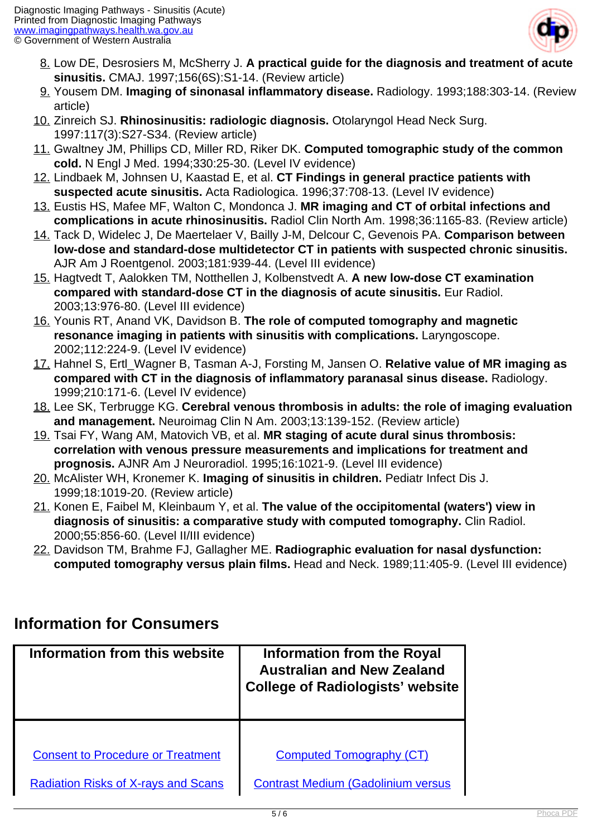

- 8. Low DE, Desrosiers M, McSherry J. **A practical guide for the diagnosis and treatment of acute sinusitis.** CMAJ. 1997;156(6S):S1-14. (Review article)
- 9. Yousem DM. **Imaging of sinonasal inflammatory disease.** Radiology. 1993;188:303-14. (Review article)
- 10. Zinreich SJ. **Rhinosinusitis: radiologic diagnosis.** Otolaryngol Head Neck Surg. 1997:117(3):S27-S34. (Review article)
- 11. Gwaltney JM, Phillips CD, Miller RD, Riker DK. **Computed tomographic study of the common cold.** N Engl J Med. 1994;330:25-30. (Level IV evidence)
- 12. Lindbaek M, Johnsen U, Kaastad E, et al. **CT Findings in general practice patients with suspected acute sinusitis.** Acta Radiologica. 1996;37:708-13. (Level IV evidence)
- 13. Eustis HS, Mafee MF, Walton C, Mondonca J. **MR imaging and CT of orbital infections and complications in acute rhinosinusitis.** Radiol Clin North Am. 1998;36:1165-83. (Review article)
- 14. Tack D, Widelec J, De Maertelaer V, Bailly J-M, Delcour C, Gevenois PA. **Comparison between low-dose and standard-dose multidetector CT in patients with suspected chronic sinusitis.** AJR Am J Roentgenol. 2003;181:939-44. (Level III evidence)
- 15. Hagtvedt T, Aalokken TM, Notthellen J, Kolbenstvedt A. **A new low-dose CT examination compared with standard-dose CT in the diagnosis of acute sinusitis.** Eur Radiol. 2003;13:976-80. (Level III evidence)
- 16. Younis RT, Anand VK, Davidson B. **The role of computed tomography and magnetic resonance imaging in patients with sinusitis with complications.** Laryngoscope. 2002;112:224-9. (Level IV evidence)
- 17. Hahnel S, Ertl\_Wagner B, Tasman A-J, Forsting M, Jansen O. **Relative value of MR imaging as compared with CT in the diagnosis of inflammatory paranasal sinus disease.** Radiology. 1999;210:171-6. (Level IV evidence)
- 18. Lee SK, Terbrugge KG. **Cerebral venous thrombosis in adults: the role of imaging evaluation and management.** Neuroimag Clin N Am. 2003;13:139-152. (Review article)
- 19. Tsai FY, Wang AM, Matovich VB, et al. **MR staging of acute dural sinus thrombosis: correlation with venous pressure measurements and implications for treatment and prognosis.** AJNR Am J Neuroradiol. 1995;16:1021-9. (Level III evidence)
- 20. McAlister WH, Kronemer K. **Imaging of sinusitis in children.** Pediatr Infect Dis J. 1999;18:1019-20. (Review article)
- 21. Konen E, Faibel M, Kleinbaum Y, et al. **The value of the occipitomental (waters') view in diagnosis of sinusitis: a comparative study with computed tomography.** Clin Radiol. 2000;55:856-60. (Level II/III evidence)
- 22. Davidson TM, Brahme FJ, Gallagher ME. **Radiographic evaluation for nasal dysfunction: computed tomography versus plain films.** Head and Neck. 1989;11:405-9. (Level III evidence)

# **Information for Consumers**

| Information from this website              | Information from the Royal<br><b>Australian and New Zealand</b><br><b>College of Radiologists' website</b> |
|--------------------------------------------|------------------------------------------------------------------------------------------------------------|
|                                            |                                                                                                            |
| <b>Consent to Procedure or Treatment</b>   | <b>Computed Tomography (CT)</b>                                                                            |
| <b>Radiation Risks of X-rays and Scans</b> | <b>Contrast Medium (Gadolinium versus</b>                                                                  |